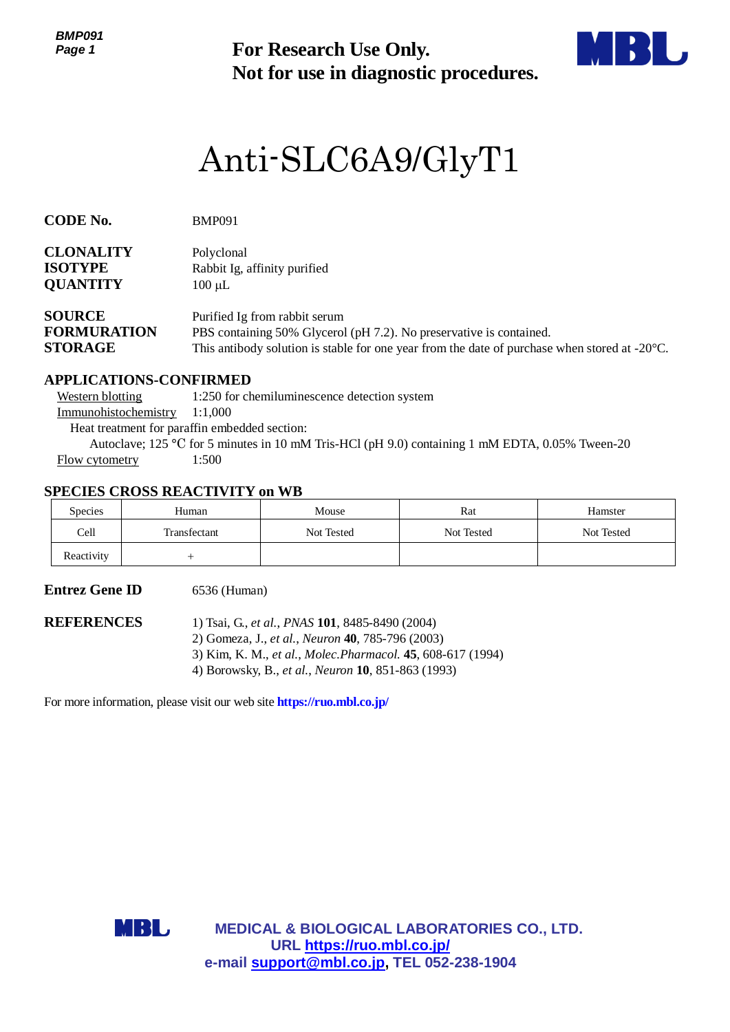*BMP091 Page 1*

**Not for use in diagnostic procedures.**



# Anti-SLC6A9/GlyT1

| CODE No. | <b>BMP091</b> |
|----------|---------------|
|          |               |

| <b>CLONALITY</b> | Polyclonal                   |
|------------------|------------------------------|
| <b>ISOTYPE</b>   | Rabbit Ig, affinity purified |
| <b>QUANTITY</b>  | $100 \mu L$                  |

| <b>SOURCE</b>      | Purified Ig from rabbit serum                                                                           |
|--------------------|---------------------------------------------------------------------------------------------------------|
| <b>FORMURATION</b> | PBS containing 50% Glycerol (pH 7.2). No preservative is contained.                                     |
| <b>STORAGE</b>     | This antibody solution is stable for one year from the date of purchase when stored at $-20^{\circ}$ C. |

# **APPLICATIONS-CONFIRMED**

**For Research Use Only.**<br>
Not for use in diagnostic procedur<br>
Anti-SLC6A9/GlyT1<br>
MP091<br>
Myslonal<br>
substite, affinity partified<br>
For Research Use of Particular SO% Givernium<br>
finded Ig from rabbit serum<br>
in finded Ig from r Western blotting 1:250 for chemiluminescence detection system Immunohistochemistry 1:1,000 Heat treatment for paraffin embedded section: Autoclave; 125 °C for 5 minutes in 10 mM Tris-HCl (pH 9.0) containing 1 mM EDTA, 0.05% Tween-20 Flow cytometry 1:500

# **SPECIES CROSS REACTIVITY on WB**

| <b>Species</b> | Human        | Mouse      | Rat        | Hamster    |
|----------------|--------------|------------|------------|------------|
| Cell           | Transfectant | Not Tested | Not Tested | Not Tested |
| Reactivity     |              |            |            |            |

# **Entrez Gene ID** 6536 (Human)

**REFERENCES** 1) Tsai, G., *et al.*, *PNAS* **101**, 8485-8490 (2004)

- 2) Gomeza, J., *et al.*, *Neuron* **40**, 785-796 (2003)
- 3) Kim, K. M., *et al.*, *Molec.Pharmacol.* **45**, 608-617 (1994)
- 4) Borowsky, B., *et al.*, *Neuron* **10**, 851-863 (1993)

For more information, please visit our web site **https://ruo.mbl.co.jp/**



**MEDICAL & BIOLOGICAL LABORATORIES CO., LTD. URL https://ruo.mbl.co.jp/**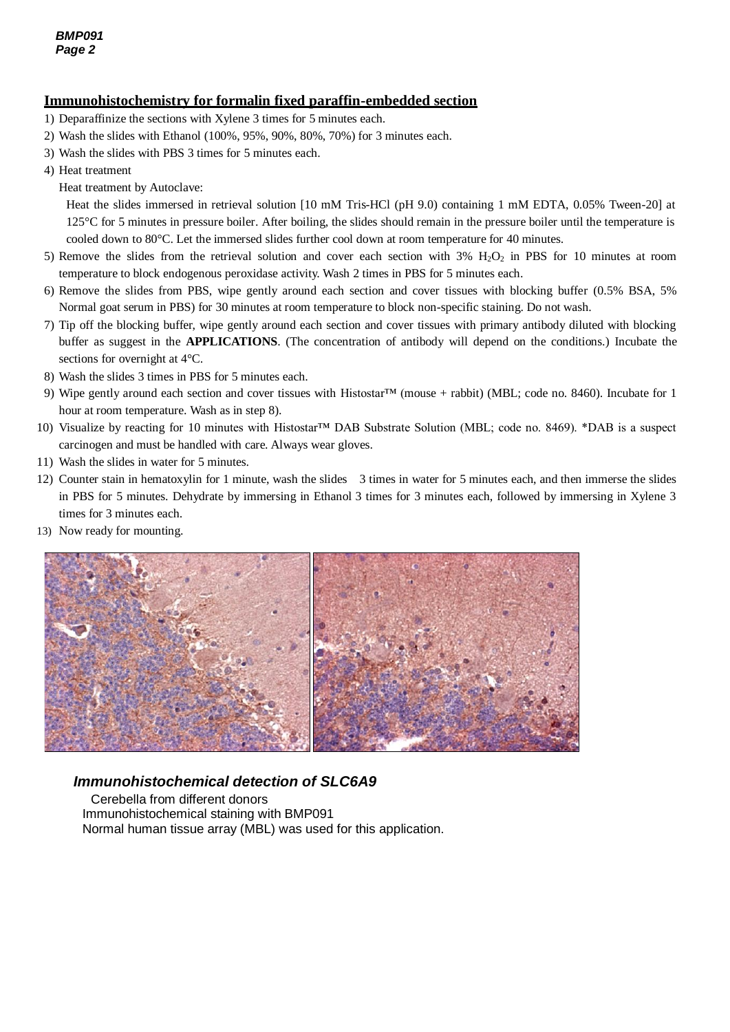## **Immunohistochemistry for formalin fixed paraffin-embedded section**

- 1) Deparaffinize the sections with Xylene 3 times for 5 minutes each.
- 2) Wash the slides with Ethanol (100%, 95%, 90%, 80%, 70%) for 3 minutes each.
- 3) Wash the slides with PBS 3 times for 5 minutes each.
- 4) Heat treatment
	- Heat treatment by Autoclave:

Heat the slides immersed in retrieval solution [10 mM Tris-HCl (pH 9.0) containing 1 mM EDTA, 0.05% Tween-20] at 125°C for 5 minutes in pressure boiler. After boiling, the slides should remain in the pressure boiler until the temperature is cooled down to 80°C. Let the immersed slides further cool down at room temperature for 40 minutes.

- 5) Remove the slides from the retrieval solution and cover each section with  $3\%$  H<sub>2</sub>O<sub>2</sub> in PBS for 10 minutes at room temperature to block endogenous peroxidase activity. Wash 2 times in PBS for 5 minutes each.
- 6) Remove the slides from PBS, wipe gently around each section and cover tissues with blocking buffer (0.5% BSA, 5% Normal goat serum in PBS) for 30 minutes at room temperature to block non-specific staining. Do not wash.
- 7) Tip off the blocking buffer, wipe gently around each section and cover tissues with primary antibody diluted with blocking buffer as suggest in the **APPLICATIONS**. (The concentration of antibody will depend on the conditions.) Incubate the sections for overnight at 4°C.
- 8) Wash the slides 3 times in PBS for 5 minutes each.
- 9) Wipe gently around each section and cover tissues with Histostar™ (mouse + rabbit) (MBL; code no. 8460). Incubate for 1 hour at room temperature. Wash as in step 8).
- 10) Visualize by reacting for 10 minutes with Histostar™ DAB Substrate Solution (MBL; code no. 8469). \*DAB is a suspect carcinogen and must be handled with care. Always wear gloves.
- 11) Wash the slides in water for 5 minutes.
- 12) Counter stain in hematoxylin for 1 minute, wash the slides 3 times in water for 5 minutes each, and then immerse the slides in PBS for 5 minutes. Dehydrate by immersing in Ethanol 3 times for 3 minutes each, followed by immersing in Xylene 3 times for 3 minutes each.
- 13) Now ready for mounting.



# *Immunohistochemical detection of SLC6A9*

Cerebella from different donors Immunohistochemical staining with BMP091 Normal human tissue array (MBL) was used for this application.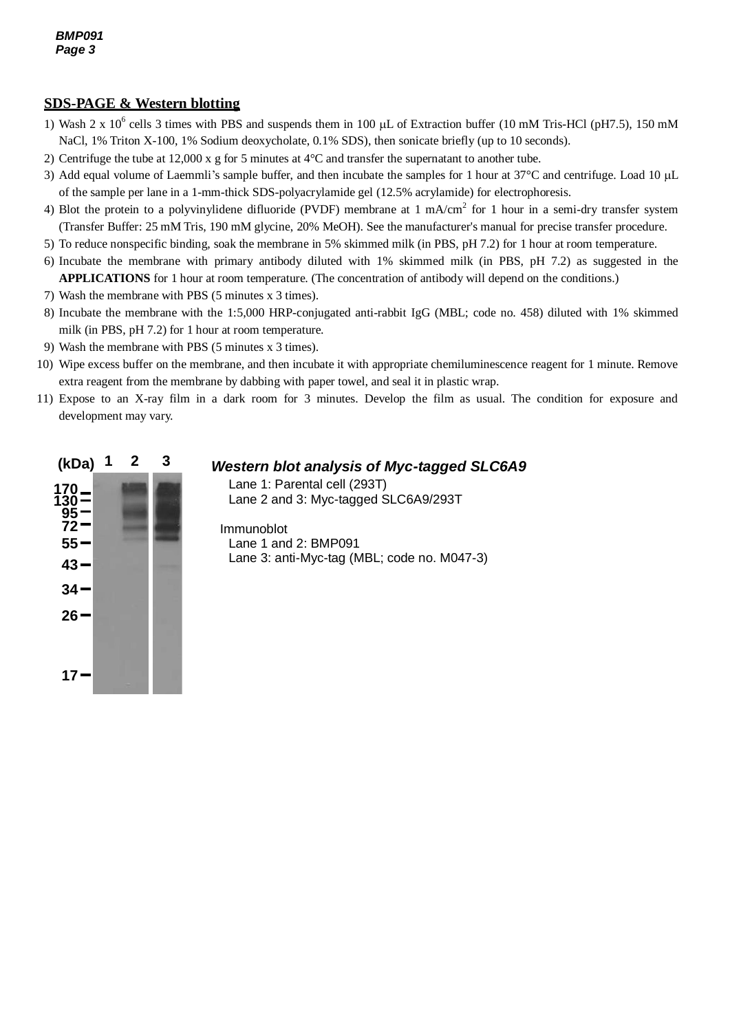# **SDS-PAGE & Western blotting**

- 1) Wash 2 x  $10^6$  cells 3 times with PBS and suspends them in 100  $\mu$ L of Extraction buffer (10 mM Tris-HCl (pH7.5), 150 mM NaCl, 1% Triton X-100, 1% Sodium deoxycholate, 0.1% SDS), then sonicate briefly (up to 10 seconds).
- 2) Centrifuge the tube at 12,000 x g for 5 minutes at 4°C and transfer the supernatant to another tube.
- 3) Add equal volume of Laemmli's sample buffer, and then incubate the samples for 1 hour at  $37^{\circ}$ C and centrifuge. Load 10  $\mu$ L of the sample per lane in a 1-mm-thick SDS-polyacrylamide gel (12.5% acrylamide) for electrophoresis.
- 4) Blot the protein to a polyvinylidene difluoride (PVDF) membrane at  $1 \text{ mA/cm}^2$  for  $1 \text{ hour}$  in a semi-dry transfer system (Transfer Buffer: 25 mM Tris, 190 mM glycine, 20% MeOH). See the manufacturer's manual for precise transfer procedure.
- 5) To reduce nonspecific binding, soak the membrane in 5% skimmed milk (in PBS, pH 7.2) for 1 hour at room temperature.
- 6) Incubate the membrane with primary antibody diluted with 1% skimmed milk (in PBS, pH 7.2) as suggested in the **APPLICATIONS** for 1 hour at room temperature. (The concentration of antibody will depend on the conditions.)
- 7) Wash the membrane with PBS (5 minutes x 3 times).
- 8) Incubate the membrane with the 1:5,000 HRP-conjugated anti-rabbit IgG (MBL; code no. 458) diluted with 1% skimmed milk (in PBS, pH 7.2) for 1 hour at room temperature.
- 9) Wash the membrane with PBS (5 minutes x 3 times).
- 10) Wipe excess buffer on the membrane, and then incubate it with appropriate chemiluminescence reagent for 1 minute. Remove extra reagent from the membrane by dabbing with paper towel, and seal it in plastic wrap.
- 11) Expose to an X-ray film in a dark room for 3 minutes. Develop the film as usual. The condition for exposure and development may vary.



# *Western blot analysis of Myc-tagged SLC6A9*

Lane 1: Parental cell (293T) Lane 2 and 3: Myc-tagged SLC6A9/293T

Immunoblot Lane 1 and 2: BMP091 Lane 3: anti-Myc-tag (MBL; code no. M047-3)